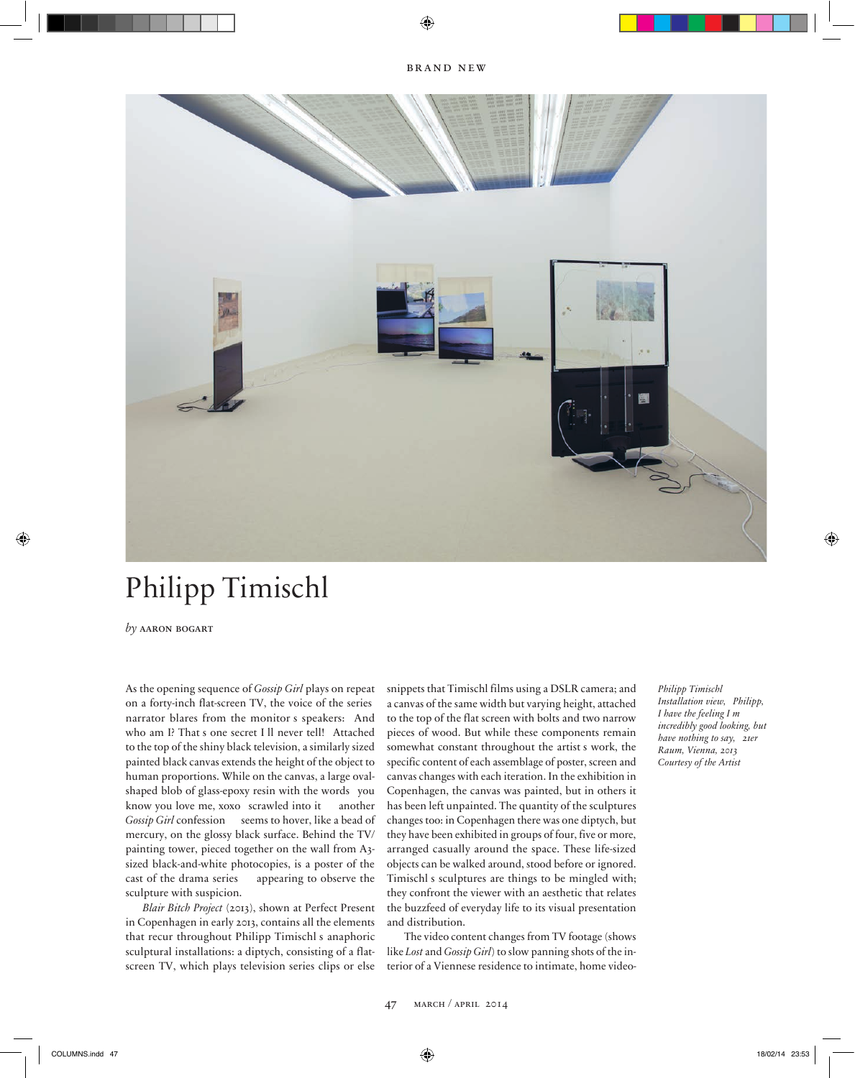

## Philipp Timischl

*by* aaron bogart

As the opening sequence of *Gossip Girl* plays on repeat on a forty-inch flat-screen TV, the voice of the series narrator blares from the monitor s speakers: And who am I? That s one secret I ll never tell! Attached to the top of the shiny black television, a similarly sized painted black canvas extends the height of the object to human proportions. While on the canvas, a large ovalshaped blob of glass-epoxy resin with the words you know you love me, xoxo scrawled into it another *Gossip Girl* confession seems to hover, like a bead of mercury, on the glossy black surface. Behind the TV/ painting tower, pieced together on the wall from A3 sized black-and-white photocopies, is a poster of the cast of the drama series appearing to observe the sculpture with suspicion.

*Blair Bitch Project* (2013), shown at Perfect Present in Copenhagen in early 2013, contains all the elements that recur throughout Philipp Timischl s anaphoric sculptural installations: a diptych, consisting of a flatscreen TV, which plays television series clips or else

snippets that Timischl films using a DSLR camera; and a canvas of the same width but varying height, attached to the top of the flat screen with bolts and two narrow pieces of wood. But while these components remain somewhat constant throughout the artist s work, the specific content of each assemblage of poster, screen and canvas changes with each iteration. In the exhibition in Copenhagen, the canvas was painted, but in others it has been left unpainted. The quantity of the sculptures changes too: in Copenhagen there was one diptych, but they have been exhibited in groups of four, five or more, arranged casually around the space. These life-sized objects can be walked around, stood before or ignored. Timischl s sculptures are things to be mingled with; they confront the viewer with an aesthetic that relates the buzzfeed of everyday life to its visual presentation and distribution.

The video content changes from TV footage (shows like *Lost* and *Gossip Girl*) to slow panning shots of the interior of a Viennese residence to intimate, home video*Philipp Timischl Installation view, Philipp, I have the feeling I m incredib ly good look ing, b ut have nothing to say, 21er R aum, Vienna, 2013 Courtesy of the Artist*